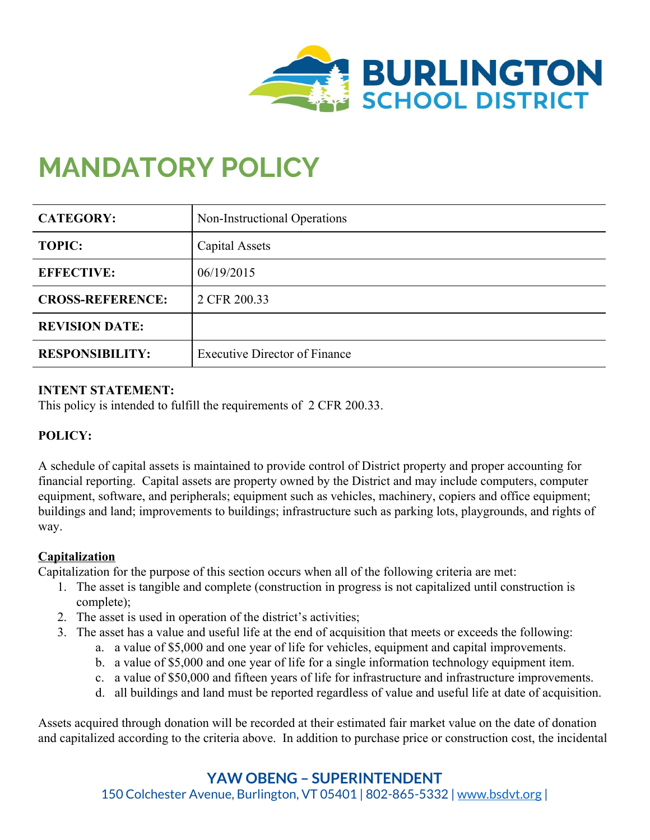

# **MANDATORY POLICY**

| <b>CATEGORY:</b>        | Non-Instructional Operations         |
|-------------------------|--------------------------------------|
| <b>TOPIC:</b>           | Capital Assets                       |
| <b>EFFECTIVE:</b>       | 06/19/2015                           |
| <b>CROSS-REFERENCE:</b> | 2 CFR 200.33                         |
| <b>REVISION DATE:</b>   |                                      |
| <b>RESPONSIBILITY:</b>  | <b>Executive Director of Finance</b> |

## **INTENT STATEMENT:**

This policy is intended to fulfill the requirements of 2 CFR 200.33.

## **POLICY:**

A schedule of capital assets is maintained to provide control of District property and proper accounting for financial reporting. Capital assets are property owned by the District and may include computers, computer equipment, software, and peripherals; equipment such as vehicles, machinery, copiers and office equipment; buildings and land; improvements to buildings; infrastructure such as parking lots, playgrounds, and rights of way.

## **Capitalization**

Capitalization for the purpose of this section occurs when all of the following criteria are met:

- 1. The asset is tangible and complete (construction in progress is not capitalized until construction is complete);
- 2. The asset is used in operation of the district's activities;
- 3. The asset has a value and useful life at the end of acquisition that meets or exceeds the following:
	- a. a value of \$5,000 and one year of life for vehicles, equipment and capital improvements.
	- b. a value of \$5,000 and one year of life for a single information technology equipment item.
	- c. a value of \$50,000 and fifteen years of life for infrastructure and infrastructure improvements.
	- d. all buildings and land must be reported regardless of value and useful life at date of acquisition.

Assets acquired through donation will be recorded at their estimated fair market value on the date of donation and capitalized according to the criteria above. In addition to purchase price or construction cost, the incidental